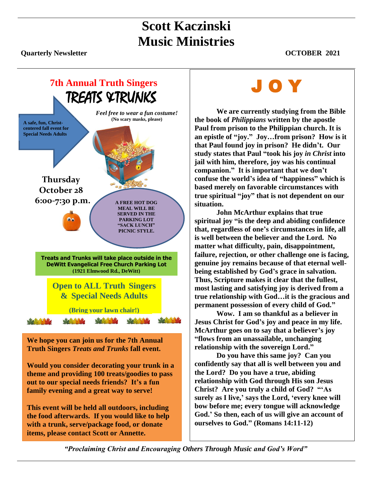## **Scott Kaczinski Music Ministries**

**Quarterly Newsletter OCTOBER 2021** 



**We hope you can join us for the 7th Annual Truth Singers** *Treats and Trunks* **fall event.** 

**Would you consider decorating your trunk in a theme and providing 100 treats/goodies to pass out to our special needs friends? It's a fun family evening and a great way to serve!**

**This event will be held all outdoors, including the food afterwards. If you would like to help with a trunk, serve/package food, or donate items, please contact Scott or Annette.** 

# J O Y

**We are currently studying from the Bible the book of** *Philippians* **written by the apostle Paul from prison to the Philippian church. It is an epistle of "joy." Joy…from prison? How is it that Paul found joy in prison? He didn't. Our study states that Paul "took his joy** *in Christ* **into jail with him, therefore, joy was his continual companion." It is important that we don't confuse the world's idea of "happiness" which is based merely on favorable circumstances with true spiritual "joy" that is not dependent on our situation.** 

**John McArthur explains that true spiritual joy "is the deep and abiding confidence that, regardless of one's circumstances in life, all is well between the believer and the Lord. No matter what difficulty, pain, disappointment, failure, rejection, or other challenge one is facing, genuine joy remains because of that eternal wellbeing established by God's grace in salvation. Thus, Scripture makes it clear that the fullest, most lasting and satisfying joy is derived from a true relationship with God…it is the gracious and permanent possession of every child of God."**

**Wow. I am so thankful as a believer in Jesus Christ for God's joy and peace in my life. McArthur goes on to say that a believer's joy "flows from an unassailable, unchanging relationship with the sovereign Lord."**

**Do you have this same joy? Can you confidently say that all is well between you and the Lord? Do you have a true, abiding relationship with God through His son Jesus Christ? Are you truly a child of God? "'As surely as I live,' says the Lord, 'every knee will bow before me; every tongue will acknowledge God.' So then, each of us will give an account of ourselves to God." (Romans 14:11-12)** 

*"Proclaiming Christ and Encouraging Others Through Music and God's Word"*